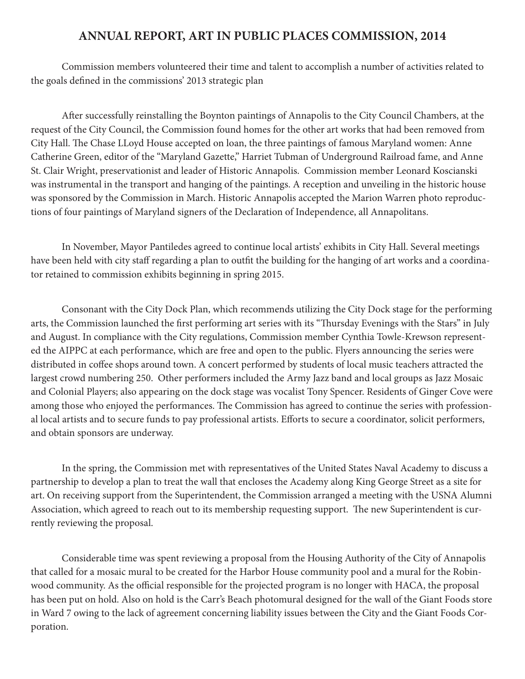## **ANNUAL REPORT, ART IN PUBLIC PLACES COMMISSION, 2014**

Commission members volunteered their time and talent to accomplish a number of activities related to the goals defined in the commissions' 2013 strategic plan

After successfully reinstalling the Boynton paintings of Annapolis to the City Council Chambers, at the request of the City Council, the Commission found homes for the other art works that had been removed from City Hall. The Chase LLoyd House accepted on loan, the three paintings of famous Maryland women: Anne Catherine Green, editor of the "Maryland Gazette," Harriet Tubman of Underground Railroad fame, and Anne St. Clair Wright, preservationist and leader of Historic Annapolis. Commission member Leonard Koscianski was instrumental in the transport and hanging of the paintings. A reception and unveiling in the historic house was sponsored by the Commission in March. Historic Annapolis accepted the Marion Warren photo reproductions of four paintings of Maryland signers of the Declaration of Independence, all Annapolitans.

In November, Mayor Pantiledes agreed to continue local artists' exhibits in City Hall. Several meetings have been held with city staff regarding a plan to outfit the building for the hanging of art works and a coordinator retained to commission exhibits beginning in spring 2015.

Consonant with the City Dock Plan, which recommends utilizing the City Dock stage for the performing arts, the Commission launched the first performing art series with its "Thursday Evenings with the Stars" in July and August. In compliance with the City regulations, Commission member Cynthia Towle-Krewson represented the AIPPC at each performance, which are free and open to the public. Flyers announcing the series were distributed in coffee shops around town. A concert performed by students of local music teachers attracted the largest crowd numbering 250. Other performers included the Army Jazz band and local groups as Jazz Mosaic and Colonial Players; also appearing on the dock stage was vocalist Tony Spencer. Residents of Ginger Cove were among those who enjoyed the performances. The Commission has agreed to continue the series with professional local artists and to secure funds to pay professional artists. Efforts to secure a coordinator, solicit performers, and obtain sponsors are underway.

In the spring, the Commission met with representatives of the United States Naval Academy to discuss a partnership to develop a plan to treat the wall that encloses the Academy along King George Street as a site for art. On receiving support from the Superintendent, the Commission arranged a meeting with the USNA Alumni Association, which agreed to reach out to its membership requesting support. The new Superintendent is currently reviewing the proposal.

Considerable time was spent reviewing a proposal from the Housing Authority of the City of Annapolis that called for a mosaic mural to be created for the Harbor House community pool and a mural for the Robinwood community. As the official responsible for the projected program is no longer with HACA, the proposal has been put on hold. Also on hold is the Carr's Beach photomural designed for the wall of the Giant Foods store in Ward 7 owing to the lack of agreement concerning liability issues between the City and the Giant Foods Corporation.